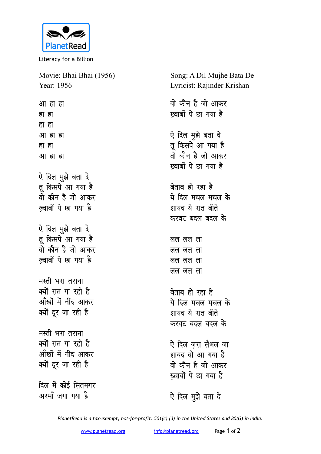

Literacy for a Billion

Movie: Bhai Bhai (1956) Year: 1956 आ हा हा हा हा हा हा आ हा हा हा हा आ हा हा ऐ दिल मुझे बता दे तू किसपे आ गया है वो कौन है जो आकर ख़्वाबों पे छा गया है ऐ दिल मुझे बता दे तू किसपे आ गया है वो कौन है जो आकर ख्वाबों पे छा गया है मस्ती भरा तराना क्यों रात गा रही है आँखों में नींद आकर क्यों दूर जा रही है मस्ती भरा तराना क्यों रात गा रही है आँखों में नींद आकर क्यों दूर जा रही है दिल में कोई सितमगर अरमॉं जगा गया है

Song: A Dil Mujhe Bata De Lyricist: Rajinder Krishan वो कौन है जो आकर ख्वाबों पे छा गया है ऐ दिल मुझे बता दे तू किसपे आ गया है ्<br>वो कौन है जो आकर ख्वाबों पे छा गया है बेताब हो रहा है ये दिल मचल मचल के शायद ये रात बीते करवट बदल बदल के लल लल ला लल लल ला लल लल ला लल लल ला बेताब हो रहा है ये दिल मचल मचल के शायद ये रात बीते करवट बटल बटल के ऐ दिल जरा सँभल जा शायद वो आ गया है वो कौन है जो आकर ख्वाबों पे छा गया है ऐ दिल मुझे बता दे

PlanetRead is a tax-exempt, not-for-profit: 501(c) (3) in the United States and 80(G) in India.